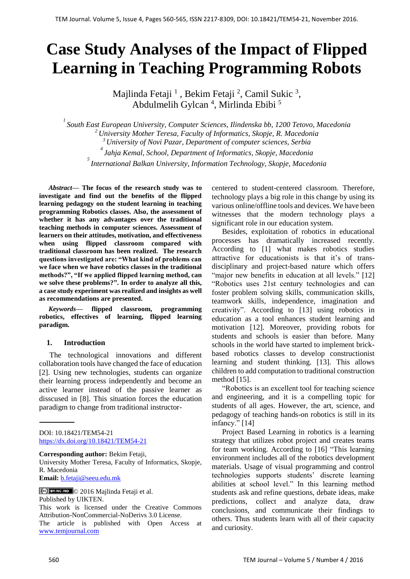# **Case Study Analyses of the Impact of Flipped Learning in Teaching Programming Robots**

Majlinda Fetaji  $^1$ , Bekim Fetaji  $^2$ , Camil Sukic  $^3$ , Abdulmelih Gylcan<sup>4</sup>, Mirlinda Ebibi<sup>5</sup>

 *South East European University, Computer Sciences, Ilindenska bb, 1200 Tetovo, Macedonia University Mother Teresa, Faculty of Informatics, Skopje, R. Macedonia University of Novi Pazar, Department of computer sciences, Serbia Jahja Kemal, School, Department of Informatics, Skopje, Macedonia International Balkan University, Information Technology, Skopje, Macedonia*

*Abstract***— The focus of the research study was to investigate and find out the benefits of the flipped learning pedagogy on the student learning in teaching programming Robotics classes. Also, the assessment of whether it has any advantages over the traditional teaching methods in computer sciences. Assessment of learners on their attitudes, motivation, and effectiveness when using flipped classroom compared with traditional classroom has been realized. The research questions investigated are: "What kind of problems can we face when we have robotics classes in the traditional methods?", "If we applied flipped learning method, can we solve these problems?". In order to analyze all this, a case study experiment was realized and insights as well as recommendations are presented.**

*Keywords—* **flipped classroom, programming robotics, effectives of learning, flipped learning paradigm.**

## **1. Introduction**

The technological innovations and different collaboration tools have changed the face of education [2]. Using new technologies, students can organize their learning process independently and become an active learner instead of the passive learner as disscused in [8]. This situation forces the education paradigm to change from traditional instructor-

DOI: 10.18421/TEM54-21 <https://dx.doi.org/10.18421/TEM54-21>

**Corresponding author:** Bekim Fetaji,

University Mother Teresa, Faculty of Informatics, Skopje, R. Macedonia **Email:** [b.fetaji@seeu.edu.mk](mailto:b.fetaji@seeu.edu.mk)

© 2016 Majlinda Fetaji et al.

Published by UIKTEN.

This work is licensed under the Creative Commons Attribution-NonCommercial-NoDerivs 3.0 License.

The article is published with Open Access at [www.temjournal.com](file:///D:/NAS%20CASOPIS%20I%20udruzenje/Brojevi/5-4/www.temjournal.com)

centered to student-centered classroom. Therefore, technology plays a big role in this change by using its various online/offline tools and devices. We have been witnesses that the modern technology plays a significant role in our education system.

Besides, exploitation of robotics in educational processes has dramatically increased recently. According to [1] what makes robotics studies attractive for educationists is that it's of transdisciplinary and project-based nature which offers "major new benefits in education at all levels." [12] "Robotics uses 21st century technologies and can foster problem solving skills, communication skills, teamwork skills, independence, imagination and creativity". According to [13] using robotics in education as a tool enhances student learning and motivation [12]. Moreover, providing robots for students and schools is easier than before. Many schools in the world have started to implement brickbased robotics classes to develop constructionist learning and student thinking. [13]. This allows children to add computation to traditional construction method [15].

"Robotics is an excellent tool for teaching science and engineering, and it is a compelling topic for students of all ages. However, the art, science, and pedagogy of teaching hands-on robotics is still in its infancy." [14]

Project Based Learning in robotics is a learning strategy that utilizes robot project and creates teams for team working. According to [16] "This learning environment includes all of the robotics development materials. Usage of visual programming and control technologies supports students' discrete learning abilities at school level." In this learning method students ask and refine questions, debate ideas, make predictions, collect and analyze data, draw conclusions, and communicate their findings to others. Thus students learn with all of their capacity and curiosity.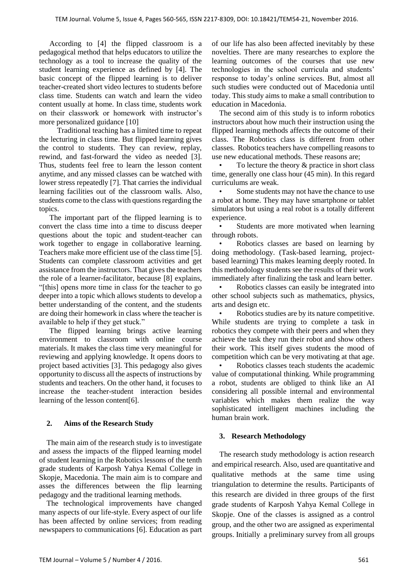According to [4] the flipped classroom is a pedagogical method that helps educators to utilize the technology as a tool to increase the quality of the student learning experience as defined by [4]. The basic concept of the flipped learning is to deliver teacher-created short video lectures to students before class time. Students can watch and learn the video content usually at home. In class time, students work on their classwork or homework with instructor's more personalized guidance [10]

 Traditional teaching has a limited time to repeat the lecturing in class time. But flipped learning gives the control to students. They can review, replay, rewind, and fast-forward the video as needed [3]. Thus, students feel free to learn the lesson content anytime, and any missed classes can be watched with lower stress repeatedly [7]. That carries the individual learning facilities out of the classroom walls. Also, students come to the class with questions regarding the topics.

The important part of the flipped learning is to convert the class time into a time to discuss deeper questions about the topic and student-teacher can work together to engage in collaborative learning. Teachers make more efficient use of the class time [5]. Students can complete classroom activities and get assistance from the instructors. That gives the teachers the role of a learner-facilitator, because [8] explains, "[this] opens more time in class for the teacher to go deeper into a topic which allows students to develop a better understanding of the content, and the students are doing their homework in class where the teacher is available to help if they get stuck."

The flipped learning brings active learning environment to classroom with online course materials. It makes the class time very meaningful for reviewing and applying knowledge. It opens doors to project based activities [3]. This pedagogy also gives opportunity to discuss all the aspects of instructions by students and teachers. On the other hand, it focuses to increase the teacher-student interaction besides learning of the lesson content[6].

## **2. Aims of the Research Study**

The main aim of the research study is to investigate and assess the impacts of the flipped learning model of student learning in the Robotics lessons of the tenth grade students of Karposh Yahya Kemal College in Skopje, Macedonia. The main aim is to compare and asses the differences between the flip learning pedagogy and the traditional learning methods.

The technological improvements have changed many aspects of our life-style. Every aspect of our life has been affected by online services; from reading newspapers to communications [6]. Education as part of our life has also been affected inevitably by these novelties. There are many researches to explore the learning outcomes of the courses that use new technologies in the school curricula and students' response to today's online services. But, almost all such studies were conducted out of Macedonia until today. This study aims to make a small contribution to education in Macedonia.

The second aim of this study is to inform robotics instructors about how much their instruction using the flipped learning methods affects the outcome of their class. The Robotics class is different from other classes. Robotics teachers have compelling reasons to use new educational methods. These reasons are;

To lecture the theory  $\&$  practice in short class time, generally one class hour (45 min). In this regard curriculums are weak.

Some students may not have the chance to use a robot at home. They may have smartphone or tablet simulators but using a real robot is a totally different experience.

• Students are more motivated when learning through robots.

Robotics classes are based on learning by doing methodology. (Task-based learning, projectbased learning) This makes learning deeply rooted. In this methodology students see the results of their work immediately after finalizing the task and learn better.

• Robotics classes can easily be integrated into other school subjects such as mathematics, physics, arts and design etc.

• Robotics studies are by its nature competitive. While students are trying to complete a task in robotics they compete with their peers and when they achieve the task they run their robot and show others their work. This itself gives students the mood of competition which can be very motivating at that age.

• Robotics classes teach students the academic value of computational thinking. While programming a robot, students are obliged to think like an AI considering all possible internal and environmental variables which makes them realize the way sophisticated intelligent machines including the human brain work.

## **3. Research Methodology**

 The research study methodology is action research and empirical research. Also, used are quantitative and qualitative methods at the same time using triangulation to determine the results. Participants of this research are divided in three groups of the first grade students of Karposh Yahya Kemal College in Skopje. One of the classes is assigned as a control group, and the other two are assigned as experimental groups. Initially a preliminary survey from all groups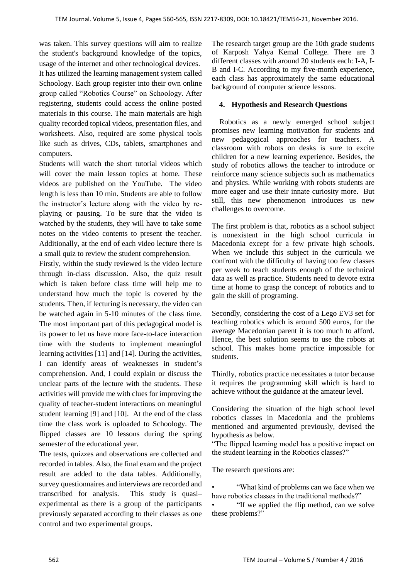was taken. This survey questions will aim to realize the student's background knowledge of the topics, usage of the internet and other technological devices. It has utilized the learning management system called Schoology. Each group register into their own online group called "Robotics Course" on Schoology. After registering, students could access the online posted materials in this course. The main materials are high quality recorded topical videos, presentation files, and worksheets. Also, required are some physical tools like such as drives, CDs, tablets, smartphones and computers.

Students will watch the short tutorial videos which will cover the main lesson topics at home. These videos are published on the YouTube. The video length is less than 10 min. Students are able to follow the instructor's lecture along with the video by replaying or pausing. To be sure that the video is watched by the students, they will have to take some notes on the video contents to present the teacher. Additionally, at the end of each video lecture there is a small quiz to review the student comprehension.

Firstly, within the study reviewed is the video lecture through in-class discussion. Also, the quiz result which is taken before class time will help me to understand how much the topic is covered by the students. Then, if lecturing is necessary, the video can be watched again in 5-10 minutes of the class time. The most important part of this pedagogical model is its power to let us have more face-to-face interaction time with the students to implement meaningful learning activities [11] and [14]. During the activities, I can identify areas of weaknesses in student's comprehension. And, I could explain or discuss the unclear parts of the lecture with the students. These activities will provide me with clues for improving the quality of teacher-student interactions on meaningful student learning [9] and [10]. At the end of the class time the class work is uploaded to Schoology. The flipped classes are 10 lessons during the spring semester of the educational year.

The tests, quizzes and observations are collected and recorded in tables. Also, the final exam and the project result are added to the data tables. Additionally, survey questionnaires and interviews are recorded and transcribed for analysis. This study is quasi– experimental as there is a group of the participants previously separated according to their classes as one control and two experimental groups.

The research target group are the 10th grade students of Karposh Yahya Kemal College. There are 3 different classes with around 20 students each: I-A, I-B and I-C. According to my five-month experience, each class has approximately the same educational background of computer science lessons.

# **4. Hypothesis and Research Questions**

 Robotics as a newly emerged school subject promises new learning motivation for students and new pedagogical approaches for teachers. A classroom with robots on desks is sure to excite children for a new learning experience. Besides, the study of robotics allows the teacher to introduce or reinforce many science subjects such as mathematics and physics. While working with robots students are more eager and use their innate curiosity more. But still, this new phenomenon introduces us new challenges to overcome.

The first problem is that, robotics as a school subject is nonexistent in the high school curricula in Macedonia except for a few private high schools. When we include this subject in the curricula we confront with the difficulty of having too few classes per week to teach students enough of the technical data as well as practice. Students need to devote extra time at home to grasp the concept of robotics and to gain the skill of programing.

Secondly, considering the cost of a Lego EV3 set for teaching robotics which is around 500 euros, for the average Macedonian parent it is too much to afford. Hence, the best solution seems to use the robots at school. This makes home practice impossible for students.

Thirdly, robotics practice necessitates a tutor because it requires the programming skill which is hard to achieve without the guidance at the amateur level.

Considering the situation of the high school level robotics classes in Macedonia and the problems mentioned and argumented previously, devised the hypothesis as below.

"The flipped learning model has a positive impact on the student learning in the Robotics classes?"

The research questions are:

• "What kind of problems can we face when we have robotics classes in the traditional methods?"

• "If we applied the flip method, can we solve these problems?"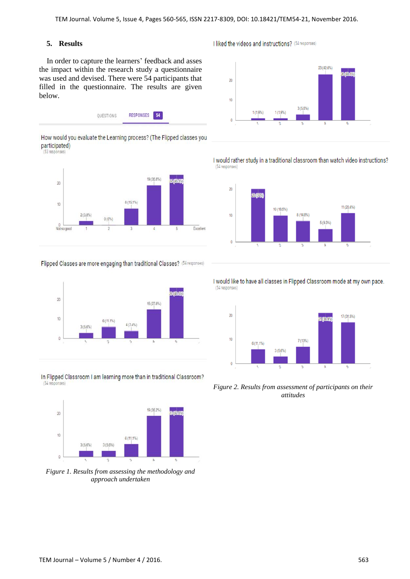(54 responses)

## **5. Results**

 In order to capture the learners' feedback and asses the impact within the research study a questionnaire was used and devised. There were 54 participants that filled in the questionnaire. The results are given below.

| UNESTIONS | RESPONSES 54 |  |
|-----------|--------------|--|
|           |              |  |

(53 responses)



#### Flipped Classes are more engaging than traditional Classes? (54 responses)



In Flipped Classroom I am learning more than in traditional Classroom? (54 responses)



*Figure 1. Results from assessing the methodology and approach undertaken*

I liked the videos and instructions? (54 responses)





I would rather study in a traditional classroom than watch video instructions?





*Figure 2. Results from assessment of participants on their attitudes* 

How would you evaluate the Learning process? (The Flipped classes you participated)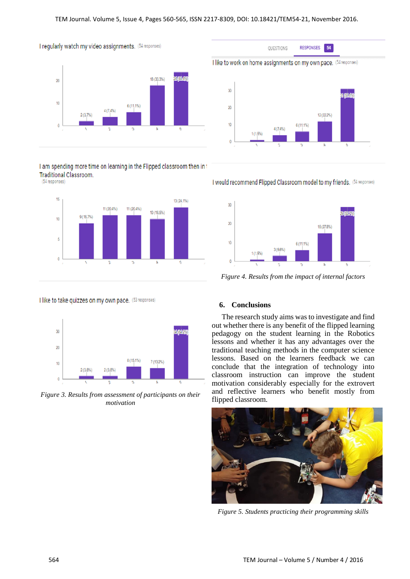

I am spending more time on learning in the Flipped classroom then in t **Traditional Classroom.** (54 responses)



I like to take quizzes on my own pace. (53 responses)



*Figure 3. Results from assessment of participants on their motivation*



**RESPONSES** 

54

QUESTIONS

#### I would recommend Flipped Classroom model to my friends. (54 responses)



*Figure 4. Results from the impact of internal factors*

#### **6. Conclusions**

The research study aims was to investigate and find out whether there is any benefit of the flipped learning pedagogy on the student learning in the Robotics lessons and whether it has any advantages over the traditional teaching methods in the computer science lessons. Based on the learners feedback we can conclude that the integration of technology into classroom instruction can improve the student motivation considerably especially for the extrovert and reflective learners who benefit mostly from flipped classroom.



*Figure 5. Students practicing their programming skills*